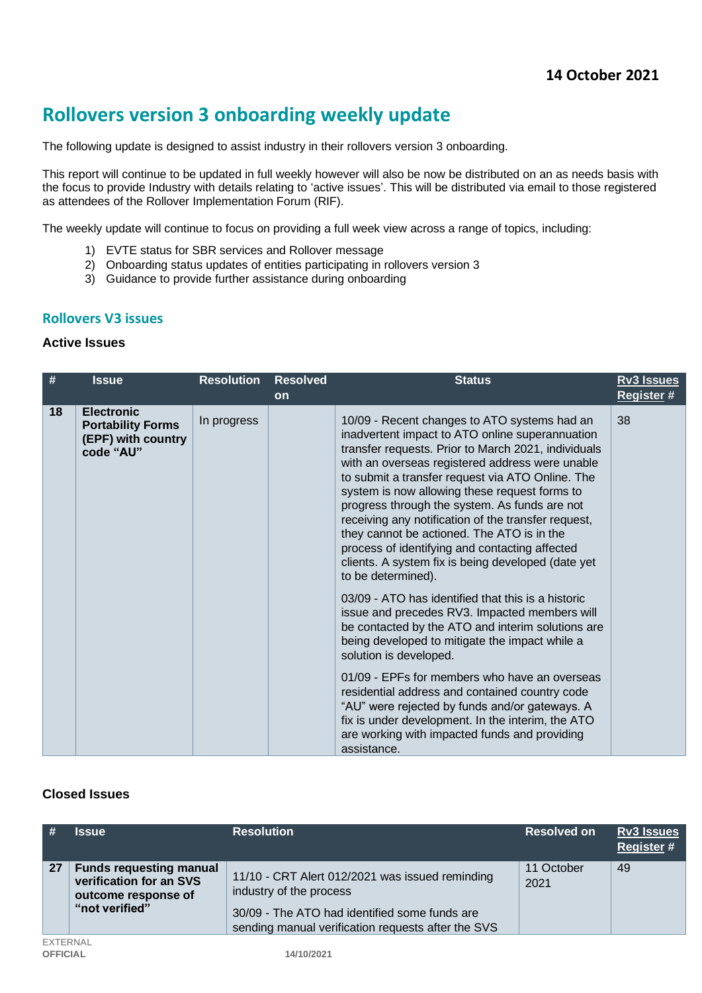# **Rollovers version 3 onboarding weekly update**

The following update is designed to assist industry in their rollovers version 3 onboarding.

This report will continue to be updated in full weekly however will also be now be distributed on an as needs basis with the focus to provide Industry with details relating to 'active issues'. This will be distributed via email to those registered as attendees of the Rollover Implementation Forum (RIF).

The weekly update will continue to focus on providing a full week view across a range of topics, including:

- 1) EVTE status for SBR services and Rollover message
- 2) Onboarding status updates of entities participating in rollovers version 3
- 3) Guidance to provide further assistance during onboarding

#### **Rollovers V3 issues**

#### **Active Issues**

| #  | <b>Issue</b>                                                                     | <b>Resolution</b> | <b>Resolved</b> | <b>Status</b>                                                                                                                                                                                                                                                                                                                                                                                                                                                                                                                                                                                      | <b>Rv3 Issues</b> |
|----|----------------------------------------------------------------------------------|-------------------|-----------------|----------------------------------------------------------------------------------------------------------------------------------------------------------------------------------------------------------------------------------------------------------------------------------------------------------------------------------------------------------------------------------------------------------------------------------------------------------------------------------------------------------------------------------------------------------------------------------------------------|-------------------|
|    |                                                                                  |                   | <b>on</b>       |                                                                                                                                                                                                                                                                                                                                                                                                                                                                                                                                                                                                    | <b>Register #</b> |
| 18 | <b>Electronic</b><br><b>Portability Forms</b><br>(EPF) with country<br>code "AU" | In progress       |                 | 10/09 - Recent changes to ATO systems had an<br>inadvertent impact to ATO online superannuation<br>transfer requests. Prior to March 2021, individuals<br>with an overseas registered address were unable<br>to submit a transfer request via ATO Online. The<br>system is now allowing these request forms to<br>progress through the system. As funds are not<br>receiving any notification of the transfer request,<br>they cannot be actioned. The ATO is in the<br>process of identifying and contacting affected<br>clients. A system fix is being developed (date yet<br>to be determined). | 38                |
|    |                                                                                  |                   |                 | 03/09 - ATO has identified that this is a historic<br>issue and precedes RV3. Impacted members will<br>be contacted by the ATO and interim solutions are<br>being developed to mitigate the impact while a<br>solution is developed.<br>01/09 - EPFs for members who have an overseas<br>residential address and contained country code<br>"AU" were rejected by funds and/or gateways. A<br>fix is under development. In the interim, the ATO                                                                                                                                                     |                   |
|    |                                                                                  |                   |                 | are working with impacted funds and providing<br>assistance.                                                                                                                                                                                                                                                                                                                                                                                                                                                                                                                                       |                   |

#### **Closed Issues**

| <b>#</b>                           | <b>Issue</b>                                                                                       | <b>Resolution</b>                                                                                                                                                                 | <b>Resolved on</b> | Rv3 Issues<br><b>Register#</b> |
|------------------------------------|----------------------------------------------------------------------------------------------------|-----------------------------------------------------------------------------------------------------------------------------------------------------------------------------------|--------------------|--------------------------------|
| 27                                 | <b>Funds requesting manual</b><br>verification for an SVS<br>outcome response of<br>"not verified" | 11/10 - CRT Alert 012/2021 was issued reminding<br>industry of the process<br>30/09 - The ATO had identified some funds are<br>sending manual verification requests after the SVS | 11 October<br>2021 | 49                             |
| <b>EXTERNAL</b><br><b>OFFICIAL</b> |                                                                                                    | 14/10/2021                                                                                                                                                                        |                    |                                |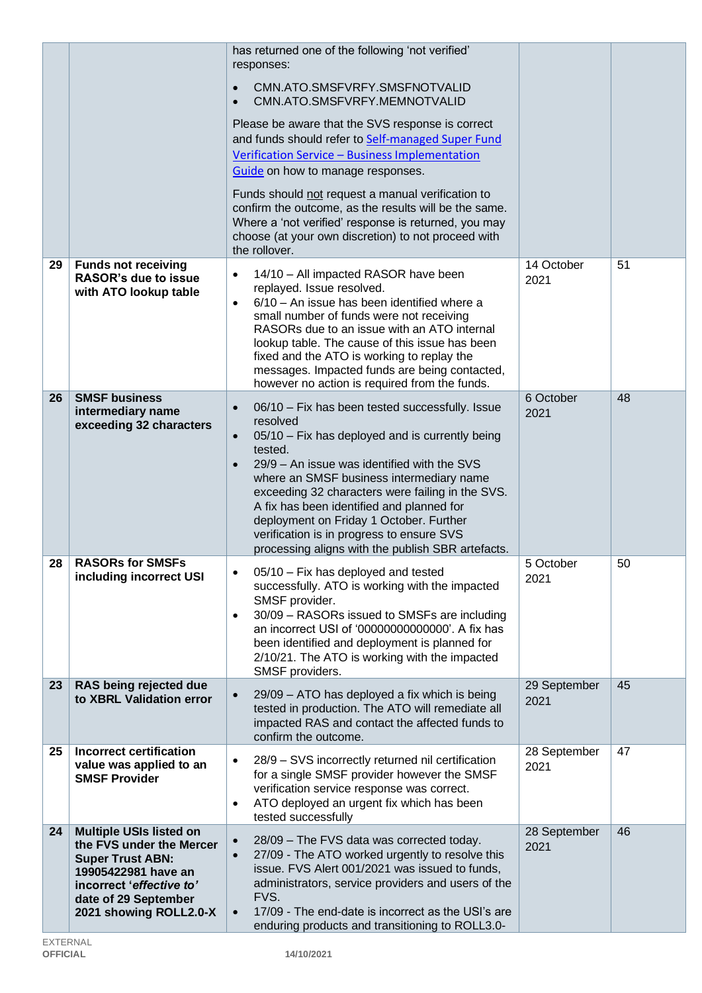|    |                                                                                                                                                                                            | has returned one of the following 'not verified'<br>responses:<br>CMN.ATO.SMSFVRFY.SMSFNOTVALID<br>$\bullet$<br>CMN.ATO.SMSFVRFY.MEMNOTVALID<br>$\bullet$<br>Please be aware that the SVS response is correct<br>and funds should refer to Self-managed Super Fund<br>Verification Service - Business Implementation<br>Guide on how to manage responses.<br>Funds should not request a manual verification to<br>confirm the outcome, as the results will be the same.<br>Where a 'not verified' response is returned, you may<br>choose (at your own discretion) to not proceed with<br>the rollover. |                      |    |
|----|--------------------------------------------------------------------------------------------------------------------------------------------------------------------------------------------|---------------------------------------------------------------------------------------------------------------------------------------------------------------------------------------------------------------------------------------------------------------------------------------------------------------------------------------------------------------------------------------------------------------------------------------------------------------------------------------------------------------------------------------------------------------------------------------------------------|----------------------|----|
| 29 | <b>Funds not receiving</b><br><b>RASOR's due to issue</b><br>with ATO lookup table                                                                                                         | 14/10 - All impacted RASOR have been<br>$\bullet$<br>replayed. Issue resolved.<br>6/10 - An issue has been identified where a<br>$\bullet$<br>small number of funds were not receiving<br>RASORs due to an issue with an ATO internal<br>lookup table. The cause of this issue has been<br>fixed and the ATO is working to replay the<br>messages. Impacted funds are being contacted,<br>however no action is required from the funds.                                                                                                                                                                 | 14 October<br>2021   | 51 |
| 26 | <b>SMSF business</b><br>intermediary name<br>exceeding 32 characters                                                                                                                       | 06/10 - Fix has been tested successfully. Issue<br>$\bullet$<br>resolved<br>05/10 - Fix has deployed and is currently being<br>$\bullet$<br>tested.<br>29/9 - An issue was identified with the SVS<br>$\bullet$<br>where an SMSF business intermediary name<br>exceeding 32 characters were failing in the SVS.<br>A fix has been identified and planned for<br>deployment on Friday 1 October. Further<br>verification is in progress to ensure SVS<br>processing aligns with the publish SBR artefacts.                                                                                               | 6 October<br>2021    | 48 |
| 28 | <b>RASORs for SMSFs</b><br>including incorrect USI                                                                                                                                         | 05/10 - Fix has deployed and tested<br>successfully. ATO is working with the impacted<br>SMSF provider.<br>30/09 - RASORs issued to SMSFs are including<br>$\bullet$<br>an incorrect USI of '00000000000000'. A fix has<br>been identified and deployment is planned for<br>2/10/21. The ATO is working with the impacted<br>SMSF providers.                                                                                                                                                                                                                                                            | 5 October<br>2021    | 50 |
| 23 | RAS being rejected due<br>to XBRL Validation error                                                                                                                                         | 29/09 - ATO has deployed a fix which is being<br>$\bullet$<br>tested in production. The ATO will remediate all<br>impacted RAS and contact the affected funds to<br>confirm the outcome.                                                                                                                                                                                                                                                                                                                                                                                                                | 29 September<br>2021 | 45 |
| 25 | <b>Incorrect certification</b><br>value was applied to an<br><b>SMSF Provider</b>                                                                                                          | 28/9 - SVS incorrectly returned nil certification<br>$\bullet$<br>for a single SMSF provider however the SMSF<br>verification service response was correct.<br>ATO deployed an urgent fix which has been<br>$\bullet$<br>tested successfully                                                                                                                                                                                                                                                                                                                                                            | 28 September<br>2021 | 47 |
| 24 | <b>Multiple USIs listed on</b><br>the FVS under the Mercer<br><b>Super Trust ABN:</b><br>19905422981 have an<br>incorrect 'effective to'<br>date of 29 September<br>2021 showing ROLL2.0-X | 28/09 - The FVS data was corrected today.<br>$\bullet$<br>27/09 - The ATO worked urgently to resolve this<br>$\bullet$<br>issue. FVS Alert 001/2021 was issued to funds,<br>administrators, service providers and users of the<br>FVS.<br>17/09 - The end-date is incorrect as the USI's are<br>$\bullet$<br>enduring products and transitioning to ROLL3.0-                                                                                                                                                                                                                                            | 28 September<br>2021 | 46 |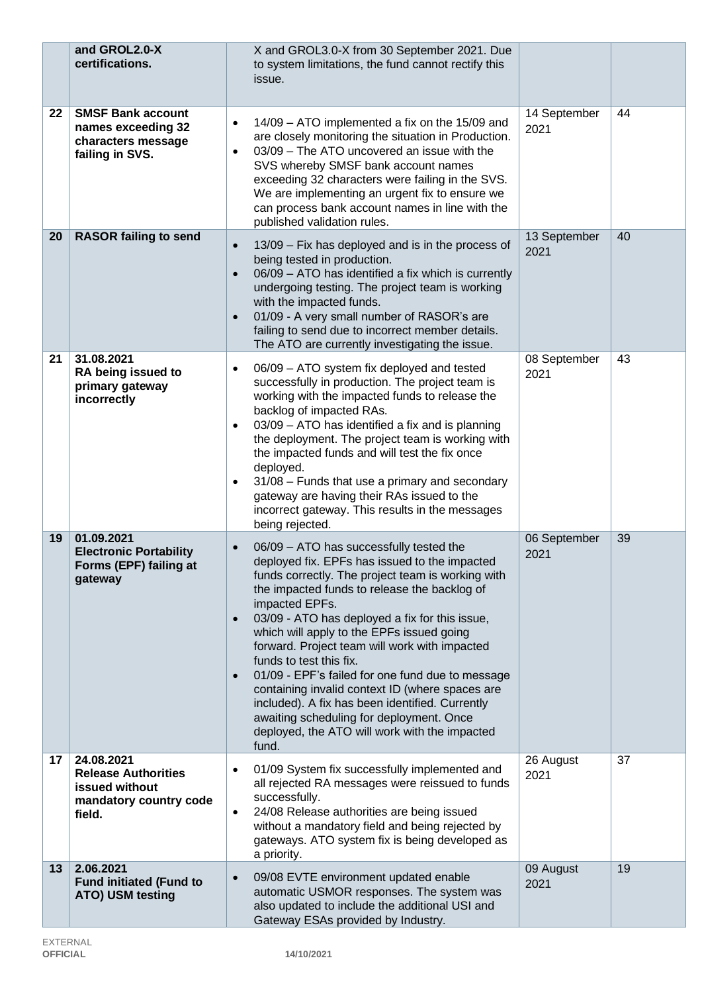|    | and GROL2.0-X<br>certifications.                                                               | X and GROL3.0-X from 30 September 2021. Due<br>to system limitations, the fund cannot rectify this<br>issue.                                                                                                                                                                                                                                                                                                                                                                                                                                                                                                                                                                                      |                      |    |
|----|------------------------------------------------------------------------------------------------|---------------------------------------------------------------------------------------------------------------------------------------------------------------------------------------------------------------------------------------------------------------------------------------------------------------------------------------------------------------------------------------------------------------------------------------------------------------------------------------------------------------------------------------------------------------------------------------------------------------------------------------------------------------------------------------------------|----------------------|----|
| 22 | <b>SMSF Bank account</b><br>names exceeding 32<br>characters message<br>failing in SVS.        | 14/09 - ATO implemented a fix on the 15/09 and<br>$\bullet$<br>are closely monitoring the situation in Production.<br>03/09 - The ATO uncovered an issue with the<br>$\bullet$<br>SVS whereby SMSF bank account names<br>exceeding 32 characters were failing in the SVS.<br>We are implementing an urgent fix to ensure we<br>can process bank account names in line with the<br>published validation rules.                                                                                                                                                                                                                                                                                     | 14 September<br>2021 | 44 |
| 20 | <b>RASOR failing to send</b>                                                                   | 13/09 - Fix has deployed and is in the process of<br>$\bullet$<br>being tested in production.<br>06/09 - ATO has identified a fix which is currently<br>$\bullet$<br>undergoing testing. The project team is working<br>with the impacted funds.<br>01/09 - A very small number of RASOR's are<br>$\bullet$<br>failing to send due to incorrect member details.<br>The ATO are currently investigating the issue.                                                                                                                                                                                                                                                                                 | 13 September<br>2021 | 40 |
| 21 | 31.08.2021<br>RA being issued to<br>primary gateway<br>incorrectly                             | 06/09 - ATO system fix deployed and tested<br>$\bullet$<br>successfully in production. The project team is<br>working with the impacted funds to release the<br>backlog of impacted RAs.<br>03/09 - ATO has identified a fix and is planning<br>$\bullet$<br>the deployment. The project team is working with<br>the impacted funds and will test the fix once<br>deployed.<br>31/08 - Funds that use a primary and secondary<br>$\bullet$<br>gateway are having their RAs issued to the<br>incorrect gateway. This results in the messages<br>being rejected.                                                                                                                                    | 08 September<br>2021 | 43 |
| 19 | 01.09.2021<br><b>Electronic Portability</b><br>Forms (EPF) failing at<br>gateway               | 06/09 - ATO has successfully tested the<br>$\bullet$<br>deployed fix. EPFs has issued to the impacted<br>funds correctly. The project team is working with<br>the impacted funds to release the backlog of<br>impacted EPFs.<br>03/09 - ATO has deployed a fix for this issue,<br>$\bullet$<br>which will apply to the EPFs issued going<br>forward. Project team will work with impacted<br>funds to test this fix.<br>01/09 - EPF's failed for one fund due to message<br>$\bullet$<br>containing invalid context ID (where spaces are<br>included). A fix has been identified. Currently<br>awaiting scheduling for deployment. Once<br>deployed, the ATO will work with the impacted<br>fund. | 06 September<br>2021 | 39 |
| 17 | 24.08.2021<br><b>Release Authorities</b><br>issued without<br>mandatory country code<br>field. | 01/09 System fix successfully implemented and<br>$\bullet$<br>all rejected RA messages were reissued to funds<br>successfully.<br>24/08 Release authorities are being issued<br>$\bullet$<br>without a mandatory field and being rejected by<br>gateways. ATO system fix is being developed as<br>a priority.                                                                                                                                                                                                                                                                                                                                                                                     | 26 August<br>2021    | 37 |
| 13 | 2.06.2021<br><b>Fund initiated (Fund to</b><br>ATO) USM testing                                | 09/08 EVTE environment updated enable<br>$\bullet$<br>automatic USMOR responses. The system was<br>also updated to include the additional USI and<br>Gateway ESAs provided by Industry.                                                                                                                                                                                                                                                                                                                                                                                                                                                                                                           | 09 August<br>2021    | 19 |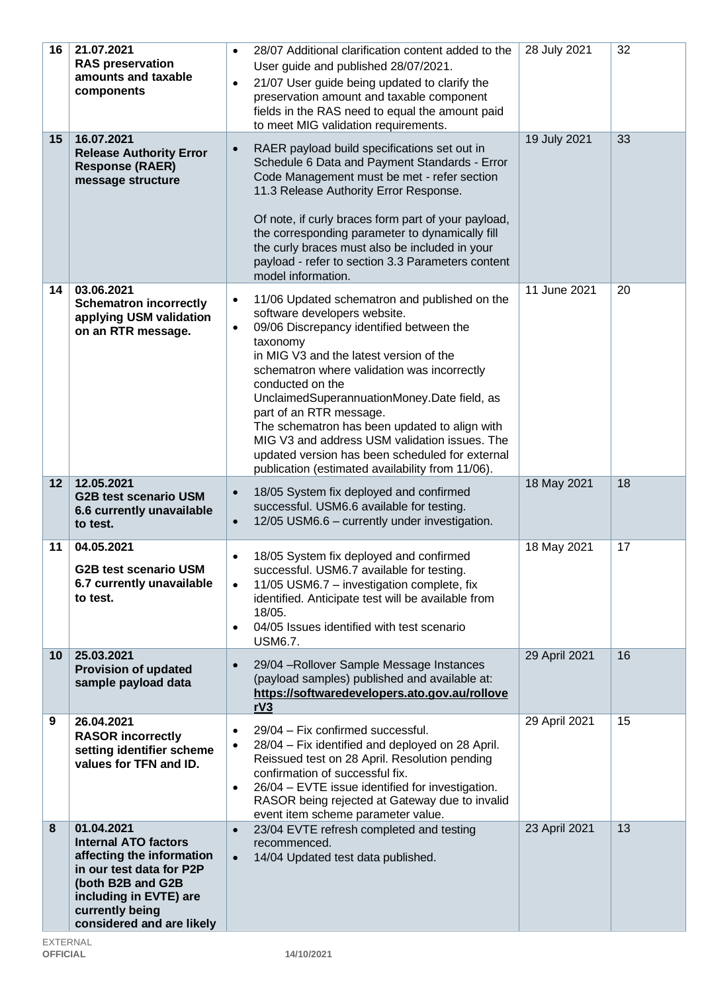| 16              | 21.07.2021<br><b>RAS preservation</b><br>amounts and taxable<br>components                                                                                                                        | 28/07 Additional clarification content added to the<br>$\bullet$<br>User guide and published 28/07/2021.<br>21/07 User guide being updated to clarify the<br>$\bullet$<br>preservation amount and taxable component<br>fields in the RAS need to equal the amount paid<br>to meet MIG validation requirements.                                                                                                                                                                                                                                                   | 28 July 2021  | 32 |
|-----------------|---------------------------------------------------------------------------------------------------------------------------------------------------------------------------------------------------|------------------------------------------------------------------------------------------------------------------------------------------------------------------------------------------------------------------------------------------------------------------------------------------------------------------------------------------------------------------------------------------------------------------------------------------------------------------------------------------------------------------------------------------------------------------|---------------|----|
| 15              | 16.07.2021<br><b>Release Authority Error</b><br><b>Response (RAER)</b><br>message structure                                                                                                       | RAER payload build specifications set out in<br>$\bullet$<br>Schedule 6 Data and Payment Standards - Error<br>Code Management must be met - refer section<br>11.3 Release Authority Error Response.<br>Of note, if curly braces form part of your payload,<br>the corresponding parameter to dynamically fill<br>the curly braces must also be included in your<br>payload - refer to section 3.3 Parameters content<br>model information.                                                                                                                       | 19 July 2021  | 33 |
| 14              | 03.06.2021<br><b>Schematron incorrectly</b><br>applying USM validation<br>on an RTR message.                                                                                                      | 11/06 Updated schematron and published on the<br>$\bullet$<br>software developers website.<br>09/06 Discrepancy identified between the<br>$\bullet$<br>taxonomy<br>in MIG V3 and the latest version of the<br>schematron where validation was incorrectly<br>conducted on the<br>UnclaimedSuperannuationMoney.Date field, as<br>part of an RTR message.<br>The schematron has been updated to align with<br>MIG V3 and address USM validation issues. The<br>updated version has been scheduled for external<br>publication (estimated availability from 11/06). | 11 June 2021  | 20 |
| 12              | 12.05.2021<br><b>G2B test scenario USM</b><br>6.6 currently unavailable<br>to test.                                                                                                               | 18/05 System fix deployed and confirmed<br>$\bullet$<br>successful. USM6.6 available for testing.<br>12/05 USM6.6 - currently under investigation.<br>$\bullet$                                                                                                                                                                                                                                                                                                                                                                                                  | 18 May 2021   | 18 |
| 11              | 04.05.2021<br><b>G2B test scenario USM</b><br>6.7 currently unavailable<br>to test.                                                                                                               | 18/05 System fix deployed and confirmed<br>$\bullet$<br>successful. USM6.7 available for testing.<br>11/05 USM6.7 - investigation complete, fix<br>$\bullet$<br>identified. Anticipate test will be available from<br>18/05.<br>04/05 Issues identified with test scenario<br>$\bullet$<br><b>USM6.7.</b>                                                                                                                                                                                                                                                        | 18 May 2021   | 17 |
| 10 <sup>°</sup> | 25.03.2021<br><b>Provision of updated</b><br>sample payload data                                                                                                                                  | 29/04 - Rollover Sample Message Instances<br>$\bullet$<br>(payload samples) published and available at:<br>https://softwaredevelopers.ato.gov.au/rollove<br>rV3                                                                                                                                                                                                                                                                                                                                                                                                  | 29 April 2021 | 16 |
| 9               | 26.04.2021<br><b>RASOR incorrectly</b><br>setting identifier scheme<br>values for TFN and ID.                                                                                                     | 29/04 - Fix confirmed successful.<br>$\bullet$<br>28/04 - Fix identified and deployed on 28 April.<br>$\bullet$<br>Reissued test on 28 April. Resolution pending<br>confirmation of successful fix.<br>26/04 - EVTE issue identified for investigation.<br>$\bullet$<br>RASOR being rejected at Gateway due to invalid<br>event item scheme parameter value.                                                                                                                                                                                                     | 29 April 2021 | 15 |
| 8               | 01.04.2021<br><b>Internal ATO factors</b><br>affecting the information<br>in our test data for P2P<br>(both B2B and G2B<br>including in EVTE) are<br>currently being<br>considered and are likely | 23/04 EVTE refresh completed and testing<br>$\bullet$<br>recommenced.<br>14/04 Updated test data published.<br>$\bullet$                                                                                                                                                                                                                                                                                                                                                                                                                                         | 23 April 2021 | 13 |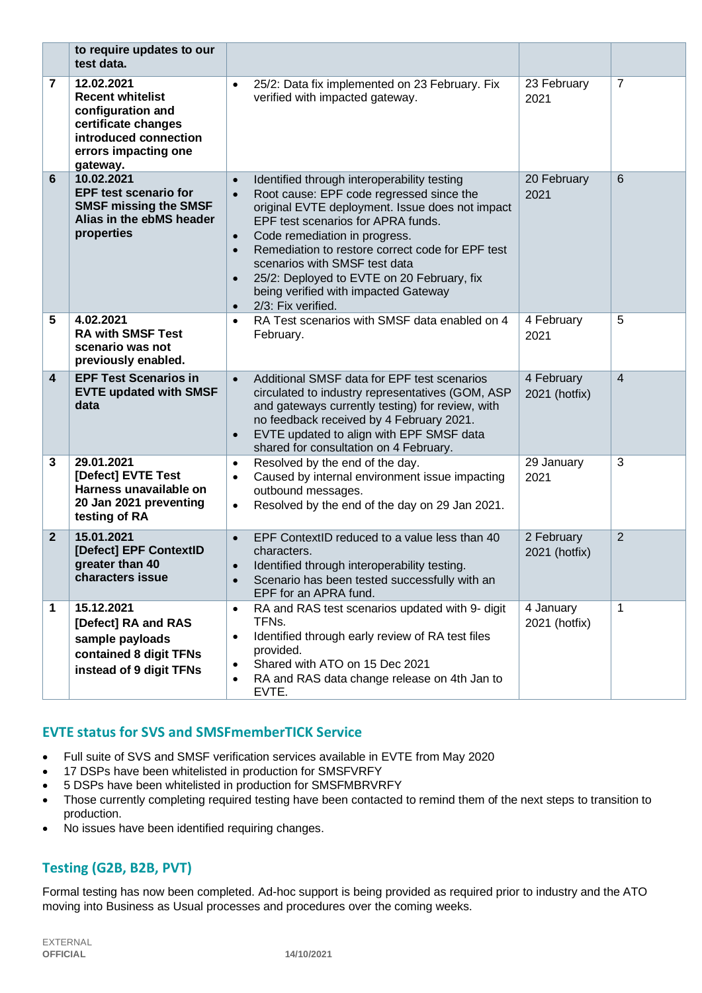|                         | to require updates to our<br>test data.                                                                                                        |                                                                            |                                                                                                                                                                                                                                                                                                                                                                                                                    |                             |                |
|-------------------------|------------------------------------------------------------------------------------------------------------------------------------------------|----------------------------------------------------------------------------|--------------------------------------------------------------------------------------------------------------------------------------------------------------------------------------------------------------------------------------------------------------------------------------------------------------------------------------------------------------------------------------------------------------------|-----------------------------|----------------|
| 7                       | 12.02.2021<br><b>Recent whitelist</b><br>configuration and<br>certificate changes<br>introduced connection<br>errors impacting one<br>gateway. | $\bullet$                                                                  | 25/2: Data fix implemented on 23 February. Fix<br>verified with impacted gateway.                                                                                                                                                                                                                                                                                                                                  | 23 February<br>2021         | 7              |
| 6                       | 10.02.2021<br><b>EPF test scenario for</b><br><b>SMSF missing the SMSF</b><br>Alias in the ebMS header<br>properties                           | $\bullet$<br>$\bullet$<br>$\bullet$<br>$\bullet$<br>$\bullet$<br>$\bullet$ | Identified through interoperability testing<br>Root cause: EPF code regressed since the<br>original EVTE deployment. Issue does not impact<br>EPF test scenarios for APRA funds.<br>Code remediation in progress.<br>Remediation to restore correct code for EPF test<br>scenarios with SMSF test data<br>25/2: Deployed to EVTE on 20 February, fix<br>being verified with impacted Gateway<br>2/3: Fix verified. | 20 February<br>2021         | 6              |
| 5                       | 4.02.2021<br><b>RA with SMSF Test</b><br>scenario was not<br>previously enabled.                                                               | $\bullet$                                                                  | RA Test scenarios with SMSF data enabled on 4<br>February.                                                                                                                                                                                                                                                                                                                                                         | 4 February<br>2021          | 5              |
| $\overline{\mathbf{4}}$ | <b>EPF Test Scenarios in</b><br><b>EVTE updated with SMSF</b><br>data                                                                          | $\bullet$<br>$\bullet$                                                     | Additional SMSF data for EPF test scenarios<br>circulated to industry representatives (GOM, ASP<br>and gateways currently testing) for review, with<br>no feedback received by 4 February 2021.<br>EVTE updated to align with EPF SMSF data<br>shared for consultation on 4 February.                                                                                                                              | 4 February<br>2021 (hotfix) | 4              |
| 3                       | 29.01.2021<br>[Defect] EVTE Test<br>Harness unavailable on<br>20 Jan 2021 preventing<br>testing of RA                                          | $\bullet$<br>$\bullet$<br>$\bullet$                                        | Resolved by the end of the day.<br>Caused by internal environment issue impacting<br>outbound messages.<br>Resolved by the end of the day on 29 Jan 2021.                                                                                                                                                                                                                                                          | 29 January<br>2021          | 3              |
| $\mathbf{2}$            | 15.01.2021<br>[Defect] EPF ContextID<br>greater than 40<br>characters issue                                                                    | $\bullet$<br>$\bullet$<br>$\bullet$                                        | EPF ContextID reduced to a value less than 40<br>characters.<br>Identified through interoperability testing.<br>Scenario has been tested successfully with an<br>EPF for an APRA fund.                                                                                                                                                                                                                             | 2 February<br>2021 (hotfix) | $\overline{2}$ |
| 1                       | 15.12.2021<br>[Defect] RA and RAS<br>sample payloads<br>contained 8 digit TFNs<br>instead of 9 digit TFNs                                      | $\bullet$<br>$\bullet$<br>٠<br>$\bullet$                                   | RA and RAS test scenarios updated with 9- digit<br>TFNs.<br>Identified through early review of RA test files<br>provided.<br>Shared with ATO on 15 Dec 2021<br>RA and RAS data change release on 4th Jan to<br>EVTE.                                                                                                                                                                                               | 4 January<br>2021 (hotfix)  | 1              |

## **EVTE status for SVS and SMSFmemberTICK Service**

- Full suite of SVS and SMSF verification services available in EVTE from May 2020
- 17 DSPs have been whitelisted in production for SMSFVRFY
- 5 DSPs have been whitelisted in production for SMSFMBRVRFY
- Those currently completing required testing have been contacted to remind them of the next steps to transition to production.
- No issues have been identified requiring changes.

## **Testing (G2B, B2B, PVT)**

Formal testing has now been completed. Ad-hoc support is being provided as required prior to industry and the ATO moving into Business as Usual processes and procedures over the coming weeks.